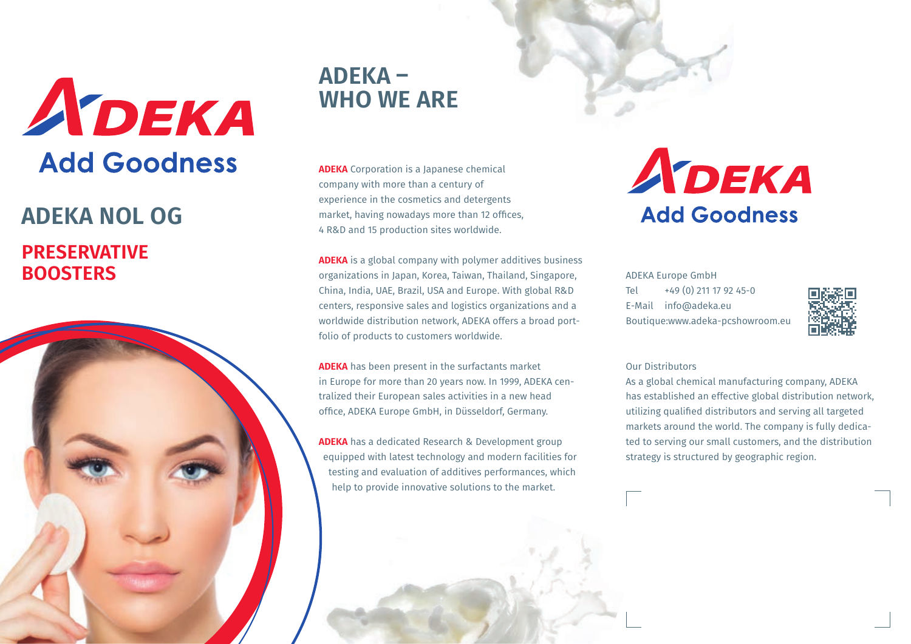

# **PRESERVATIVE BOOSTERS ADEKA NOL OG**



## **ADEKA – WHO WE ARE**

**ADEKA** Corporation is a Japanese chemical company with more than a century of experience in the cosmetics and detergents market, having nowadays more than 12 offices, 4 R&D and 15 production sites worldwide.

**ADEKA** is a global company with polymer additives business organizations in Japan, Korea, Taiwan, Thailand, Singapore, China, India, UAE, Brazil, USA and Europe. With global R&D centers, responsive sales and logistics organizations and a worldwide distribution network, ADEKA offers a broad portfolio of products to customers worldwide.

**ADEKA** has been present in the surfactants market in Europe for more than 20 years now. In 1999, ADEKA centralized their European sales activities in a new head office, ADEKA Europe GmbH, in Düsseldorf, Germany.

**ADEKA** has a dedicated Research & Development group equipped with latest technology and modern facilities for testing and evaluation of additives performances, which help to provide innovative solutions to the market.



ADEKA Europe GmbH Tel +49 (0) 211 17 92 45-0 E-Mail info@adeka.eu Boutique:www.adeka-pcshowroom.eu



#### Our Distributors

As a global chemical manufacturing company, ADEKA has established an effective global distribution network, utilizing qualified distributors and serving all targeted markets around the world. The company is fully dedicated to serving our small customers, and the distribution strategy is structured by geographic region.